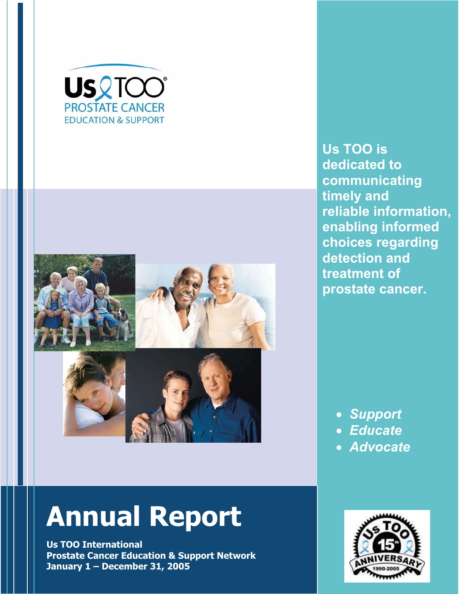



# **Annual Report**

**Us TOO International Prostate Cancer Education & Support Network January 1 – December 31, 2005** 

**Us TOO is dedicated to communicating timely and reliable information, enabling informed choices regarding detection and treatment of prostate cancer.** 

- x *Support*
- x *Educate*
- x *Advocate*

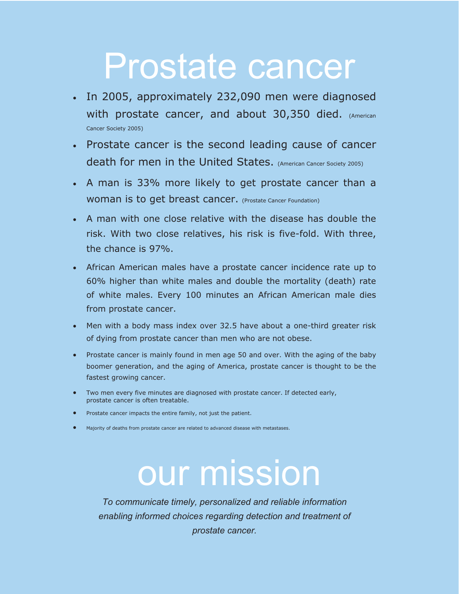# Prostate cancer

- In 2005, approximately 232,090 men were diagnosed with prostate cancer, and about 30,350 died. (American Cancer Society 2005)
- Prostate cancer is the second leading cause of cancer death for men in the United States. (American Cancer Society 2005)
- A man is 33% more likely to get prostate cancer than a WOMAN IS to get breast cancer. (Prostate Cancer Foundation)
- x A man with one close relative with the disease has double the risk. With two close relatives, his risk is five-fold. With three, the chance is 97%.
- African American males have a prostate cancer incidence rate up to 60% higher than white males and double the mortality (death) rate of white males. Every 100 minutes an African American male dies from prostate cancer.
- Men with a body mass index over 32.5 have about a one-third greater risk of dying from prostate cancer than men who are not obese.
- Prostate cancer is mainly found in men age 50 and over. With the aging of the baby boomer generation, and the aging of America, prostate cancer is thought to be the fastest growing cancer.
- Two men every five minutes are diagnosed with prostate cancer. If detected early, prostate cancer is often treatable.
- Prostate cancer impacts the entire family, not just the patient.
- Majority of deaths from prostate cancer are related to advanced disease with metastases.

# our mission

*To communicate timely, personalized and reliable information enabling informed choices regarding detection and treatment of prostate cancer.*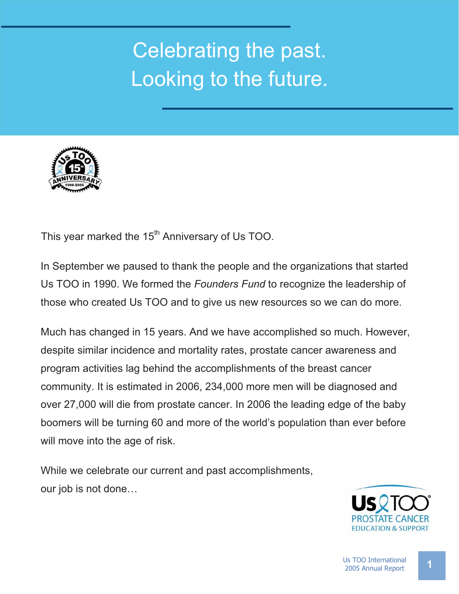# Celebrating the past. Looking to the future.



This year marked the 15<sup>th</sup> Anniversary of Us TOO.

In September we paused to thank the people and the organizations that started Us TOO in 1990. We formed the *Founders Fund* to recognize the leadership of those who created Us TOO and to give us new resources so we can do more.

Much has changed in 15 years. And we have accomplished so much. However, despite similar incidence and mortality rates, prostate cancer awareness and program activities lag behind the accomplishments of the breast cancer community. It is estimated in 2006, 234,000 more men will be diagnosed and over 27,000 will die from prostate cancer. In 2006 the leading edge of the baby boomers will be turning 60 and more of the world's population than ever before will move into the age of risk.

While we celebrate our current and past accomplishments, our job is not done…

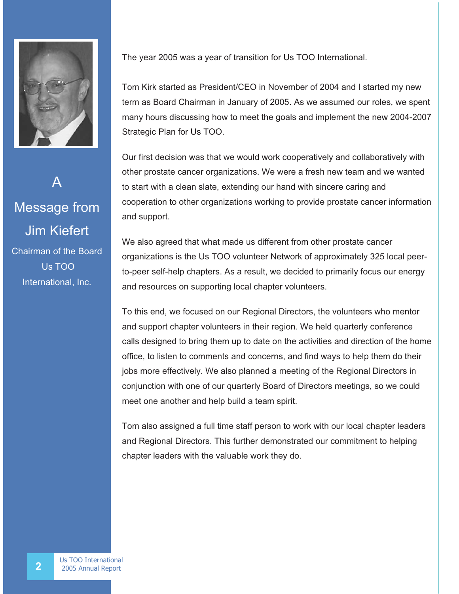

A Message from Jim Kiefert Chairman of the Board Us TOO International, Inc.

The year 2005 was a year of transition for Us TOO International.

Tom Kirk started as President/CEO in November of 2004 and I started my new term as Board Chairman in January of 2005. As we assumed our roles, we spent many hours discussing how to meet the goals and implement the new 2004-2007 Strategic Plan for Us TOO.

Our first decision was that we would work cooperatively and collaboratively with other prostate cancer organizations. We were a fresh new team and we wanted to start with a clean slate, extending our hand with sincere caring and cooperation to other organizations working to provide prostate cancer information and support.

We also agreed that what made us different from other prostate cancer organizations is the Us TOO volunteer Network of approximately 325 local peerto-peer self-help chapters. As a result, we decided to primarily focus our energy and resources on supporting local chapter volunteers.

To this end, we focused on our Regional Directors, the volunteers who mentor and support chapter volunteers in their region. We held quarterly conference calls designed to bring them up to date on the activities and direction of the home office, to listen to comments and concerns, and find ways to help them do their jobs more effectively. We also planned a meeting of the Regional Directors in conjunction with one of our quarterly Board of Directors meetings, so we could meet one another and help build a team spirit.

Tom also assigned a full time staff person to work with our local chapter leaders and Regional Directors. This further demonstrated our commitment to helping chapter leaders with the valuable work they do.

**2** Us TOO International<br>
2005 Annual Report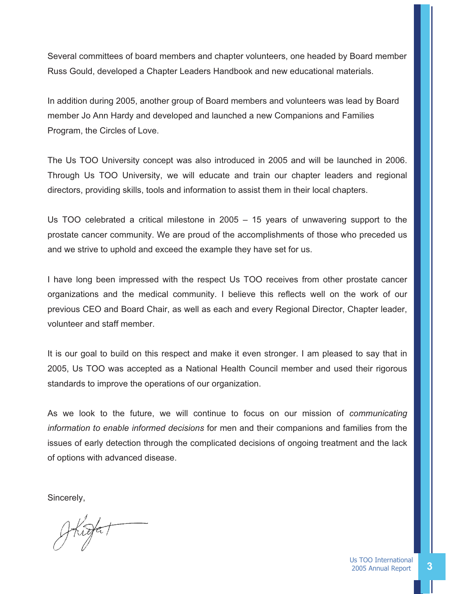Several committees of board members and chapter volunteers, one headed by Board member Russ Gould, developed a Chapter Leaders Handbook and new educational materials.

In addition during 2005, another group of Board members and volunteers was lead by Board member Jo Ann Hardy and developed and launched a new Companions and Families Program, the Circles of Love.

The Us TOO University concept was also introduced in 2005 and will be launched in 2006. Through Us TOO University, we will educate and train our chapter leaders and regional directors, providing skills, tools and information to assist them in their local chapters.

Us TOO celebrated a critical milestone in 2005 – 15 years of unwavering support to the prostate cancer community. We are proud of the accomplishments of those who preceded us and we strive to uphold and exceed the example they have set for us.

I have long been impressed with the respect Us TOO receives from other prostate cancer organizations and the medical community. I believe this reflects well on the work of our previous CEO and Board Chair, as well as each and every Regional Director, Chapter leader, volunteer and staff member.

It is our goal to build on this respect and make it even stronger. I am pleased to say that in 2005, Us TOO was accepted as a National Health Council member and used their rigorous standards to improve the operations of our organization.

As we look to the future, we will continue to focus on our mission of *communicating information to enable informed decisions* for men and their companions and families from the issues of early detection through the complicated decisions of ongoing treatment and the lack of options with advanced disease.

Sincerely,

*"As we look to the future, we wil continue to raise public*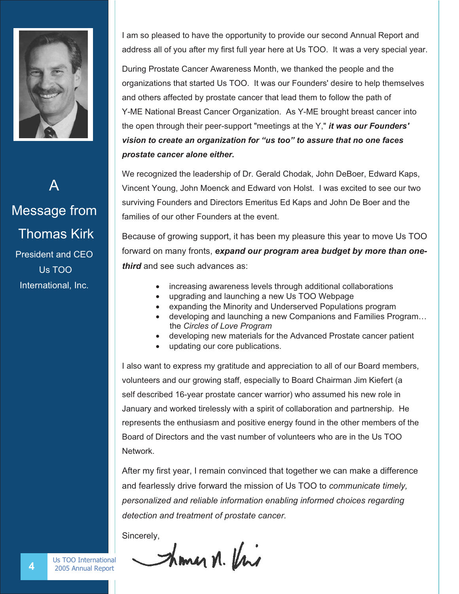

A Message from Thomas Kirk President and CEO Us TOO International, Inc.

I am so pleased to have the opportunity to provide our second Annual Report and address all of you after my first full year here at Us TOO. It was a very special year.

During Prostate Cancer Awareness Month, we thanked the people and the organizations that started Us TOO. It was our Founders' desire to help themselves and others affected by prostate cancer that lead them to follow the path of Y-ME National Breast Cancer Organization. As Y-ME brought breast cancer into the open through their peer-support "meetings at the Y," *it was our Founders' vision to create an organization for "us too" to assure that no one faces prostate cancer alone either.*

We recognized the leadership of Dr. Gerald Chodak, John DeBoer, Edward Kaps, Vincent Young, John Moenck and Edward von Holst. I was excited to see our two surviving Founders and Directors Emeritus Ed Kaps and John De Boer and the families of our other Founders at the event.

Because of growing support, it has been my pleasure this year to move Us TOO forward on many fronts, *expand our program area budget by more than onethird* and see such advances as:

- increasing awareness levels through additional collaborations
- upgrading and launching a new Us TOO Webpage
- expanding the Minority and Underserved Populations program
- developing and launching a new Companions and Families Program... the *Circles of Love Program*
- developing new materials for the Advanced Prostate cancer patient
- updating our core publications.

I also want to express my gratitude and appreciation to all of our Board members, volunteers and our growing staff, especially to Board Chairman Jim Kiefert (a self described 16-year prostate cancer warrior) who assumed his new role in January and worked tirelessly with a spirit of collaboration and partnership. He represents the enthusiasm and positive energy found in the other members of the Board of Directors and the vast number of volunteers who are in the Us TOO **Network** 

After my first year, I remain convinced that together we can make a difference and fearlessly drive forward the mission of Us TOO to *communicate timely, personalized and reliable information enabling informed choices regarding detection and treatment of prostate cancer.* 

Sincerely,

Shoman n. Uni

**4** Us TOO International 2005 Annual Report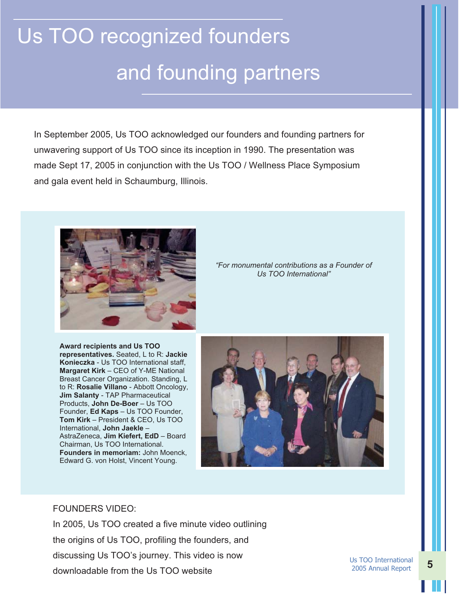# Us TOO recognized founders and founding partners

In September 2005, Us TOO acknowledged our founders and founding partners for unwavering support of Us TOO since its inception in 1990. The presentation was made Sept 17, 2005 in conjunction with the Us TOO / Wellness Place Symposium and gala event held in Schaumburg, Illinois.



*"For monumental contributions as a Founder of Us TOO International"* 

**Award recipients and Us TOO representatives.** Seated, L to R: **Jackie Konieczka** - Us TOO International staff, **Margaret Kirk** – CEO of Y-ME National Breast Cancer Organization. Standing, L to R: **Rosalie Villano** - Abbott Oncology, **Jim Salanty** - TAP Pharmaceutical Products, **John De-Boer** – Us TOO Founder, **Ed Kaps** – Us TOO Founder, **Tom Kirk** – President & CEO, Us TOO International, **John Jaekle** – AstraZeneca, **Jim Kiefert, EdD** – Board Chairman, Us TOO International. **Founders in memoriam:** John Moenck, Edward G. von Holst, Vincent Young.



#### FOUNDERS VIDEO:

In 2005, Us TOO created a five minute video outlining the origins of Us TOO, profiling the founders, and discussing Us TOO's journey. This video is now downloadable from the Us TOO website

Us TOO International 2005 Annual Report **5**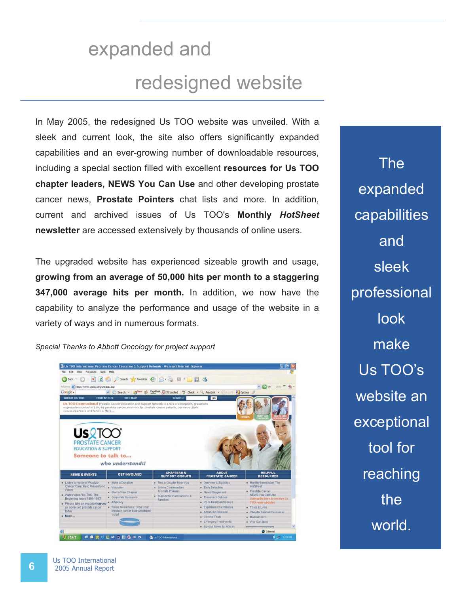# expanded and redesigned website

In May 2005, the redesigned Us TOO website was unveiled. With a sleek and current look, the site also offers significantly expanded capabilities and an ever-growing number of downloadable resources, including a special section filled with excellent **resources for Us TOO chapter leaders, NEWS You Can Use** and other developing prostate cancer news, **Prostate Pointers** chat lists and more. In addition, current and archived issues of Us TOO's **Monthly** *HotSheet* **newsletter** are accessed extensively by thousands of online users.

The upgraded website has experienced sizeable growth and usage, **growing from an average of 50,000 hits per month to a staggering 347,000 average hits per month.** In addition, we now have the capability to analyze the performance and usage of the website in a variety of ways and in numerous formats.

*Special Thanks to Abbott Oncology for project support* 

| File Edit View Favorites Tools                                                                       | Help                                                                                                     |                                                                                           |                                                                                               |                                                                                                                    |
|------------------------------------------------------------------------------------------------------|----------------------------------------------------------------------------------------------------------|-------------------------------------------------------------------------------------------|-----------------------------------------------------------------------------------------------|--------------------------------------------------------------------------------------------------------------------|
|                                                                                                      | Geat · ○ · ■ 日 △ Pseed greenotes ④ △ △ B · ■ 假 名                                                         |                                                                                           |                                                                                               |                                                                                                                    |
| Address @ http://www.ustoo.org/Default.asp                                                           |                                                                                                          |                                                                                           |                                                                                               | $\vee$ $\Box$ $\omega$                                                                                             |
| Google -                                                                                             | v C Search · O <sup>ffere</sup> as PageBank En 35 blocked "S Check · R AutoLink · En and Ful Options &   |                                                                                           |                                                                                               |                                                                                                                    |
| <b>ABOUT US TOO</b><br><b>CONTACT US</b>                                                             | <b>SITE MAP</b>                                                                                          | <b>SEARCH</b>                                                                             | qo                                                                                            |                                                                                                                    |
| spouses/partners and families. More<br><b>USRTOO</b>                                                 | organization started in 1990 by prostate cancer survivors for prostate cancer patients, survivors, their |                                                                                           |                                                                                               |                                                                                                                    |
| <b>PROSTATE CANCER</b><br><b>EDUCATION &amp; SUPPORT</b>                                             |                                                                                                          |                                                                                           |                                                                                               |                                                                                                                    |
| Someone to talk to<br><b>NEWS &amp; EVENTS</b>                                                       | who understands!<br><b>GET INVOLVED</b>                                                                  | <b>CHAPTERS &amp;</b><br><b>SUPPORT GROUPS</b>                                            | <b>ABOUT</b><br><b>PROSTATE CANCER</b>                                                        | <b>HELPFUL</b><br><b>RESOURCES</b>                                                                                 |
| · Listen to replay of Prostate                                                                       | · Make a Donation                                                                                        | · Find a Chapter Near You                                                                 | - Overview & Statistics                                                                       | . Monthly Newsletter: The                                                                                          |
| Cancer Care: Past, Present and<br>Future<br>. Watch video "Us TOO: The<br>Beginning Years 1990-1993* | . Volunteer<br>- Start a New Chapter<br>Corporate Sponsors<br>- Advocacy                                 | · Online Communities:<br>Prostate Pointers<br>Support for Companions &<br><b>Families</b> | <b>Early Detection</b><br>- Newly Diagnosed<br>· Treatment Options<br>- Post-Treatment Issues | HotSheet<br>· Prostate Cancer<br>NEWS You Can Use<br>Subscribe from to receive the<br><b>TOO reeves inpulsives</b> |
|                                                                                                      | · Raise Awareness: Order your<br>prostate cancer blue wristband                                          |                                                                                           | · Experienced a Relapse                                                                       | · Tools & Links                                                                                                    |
| . Please take an important survey<br>on advanced prostate cancer<br>today<br>$n$ More                | today                                                                                                    |                                                                                           | - Advanced Disease<br><b>E</b> Clinical Trials                                                | · Chapter Leader Resources<br>. Media Room                                                                         |
|                                                                                                      |                                                                                                          |                                                                                           | * Emerging Treatments                                                                         | - Visit Our Store                                                                                                  |

The expanded capabilities and sleek professional look make Us TOO's website an exceptional tool for reaching the world.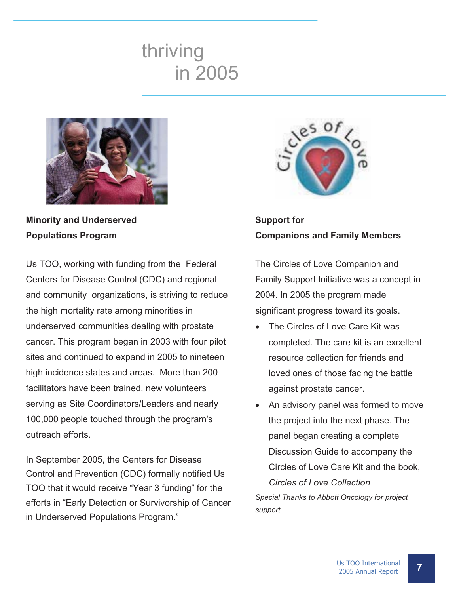## thriving in 2005



**Minority and Underserved Populations Program**

Us TOO, working with funding from the Federal Centers for Disease Control (CDC) and regional and community organizations, is striving to reduce the high mortality rate among minorities in underserved communities dealing with prostate cancer. This program began in 2003 with four pilot sites and continued to expand in 2005 to nineteen high incidence states and areas. More than 200 facilitators have been trained, new volunteers serving as Site Coordinators/Leaders and nearly 100,000 people touched through the program's outreach efforts.

In September 2005, the Centers for Disease Control and Prevention (CDC) formally notified Us TOO that it would receive "Year 3 funding" for the efforts in "Early Detection or Survivorship of Cancer in Underserved Populations Program."



**Support for Companions and Family Members**

The Circles of Love Companion and Family Support Initiative was a concept in 2004. In 2005 the program made significant progress toward its goals.

- The Circles of Love Care Kit was completed. The care kit is an excellent resource collection for friends and loved ones of those facing the battle against prostate cancer.
- An advisory panel was formed to move the project into the next phase. The panel began creating a complete Discussion Guide to accompany the Circles of Love Care Kit and the book, *Circles of Love Collection Special Thanks to Abbott Oncology for project support*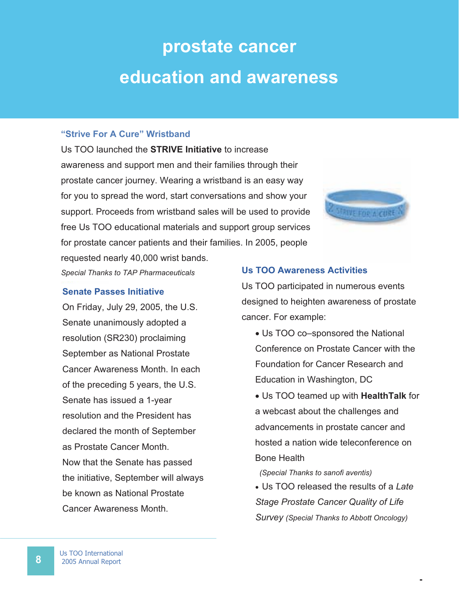# **prostate cancer education and awareness**

#### **"Strive For A Cure" Wristband**

Us TOO launched the **STRIVE Initiative** to increase awareness and support men and their families through their prostate cancer journey. Wearing a wristband is an easy way for you to spread the word, start conversations and show your support. Proceeds from wristband sales will be used to provide free Us TOO educational materials and support group services for prostate cancer patients and their families. In 2005, people requested nearly 40,000 wrist bands.



*Special Thanks to TAP Pharmaceuticals* 

#### **Senate Passes Initiative**

On Friday, July 29, 2005, the U.S. Senate unanimously adopted a resolution (SR230) proclaiming September as National Prostate Cancer Awareness Month. In each of the preceding 5 years, the U.S. Senate has issued a 1-year resolution and the President has declared the month of September as Prostate Cancer Month. Now that the Senate has passed the initiative, September will always be known as National Prostate Cancer Awareness Month.

#### **Us TOO Awareness Activities**

Us TOO participated in numerous events designed to heighten awareness of prostate cancer. For example:

- Us TOO co–sponsored the National Conference on Prostate Cancer with the Foundation for Cancer Research and Education in Washington, DC
- x Us TOO teamed up with **HealthTalk** for a webcast about the challenges and advancements in prostate cancer and hosted a nation wide teleconference on Bone Health

#### *(Special Thanks to sanofi aventis)*

x Us TOO released the results of a *Late Stage Prostate Cancer Quality of Life Survey (Special Thanks to Abbott Oncology)*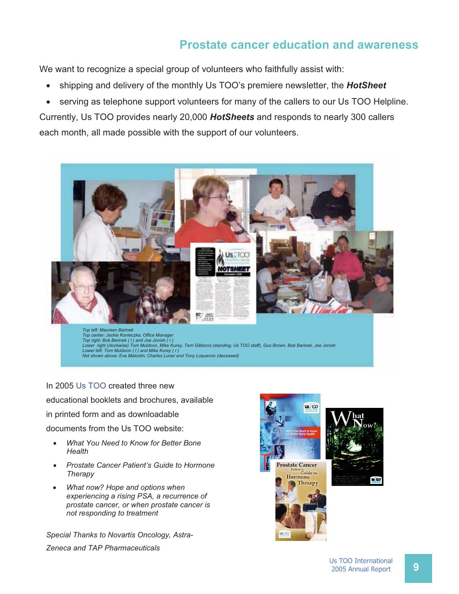#### **Prostate cancer education and awareness**

We want to recognize a special group of volunteers who faithfully assist with:

- shipping and delivery of the monthly Us TOO's premiere newsletter, the **HotSheet**
- serving as telephone support volunteers for many of the callers to our Us TOO Helpline.

Currently, Us TOO provides nearly 20,000 *HotSheets* and responds to nearly 300 callers each month, all made possible with the support of our volunteers.



In 2005 Us TOO created three new educational booklets and brochures, available in printed form and as downloadable documents from the Us TOO website:

- x *What You Need to Know for Better Bone Health*
- x *Prostate Cancer Patient's Guide to Hormone Therapy*
- x *What now? Hope and options when experiencing a rising PSA, a recurrence of prostate cancer, or when prostate cancer is not responding to treatment*

*Special Thanks to Novartis Oncology, Astra-Zeneca and TAP Pharmaceuticals*



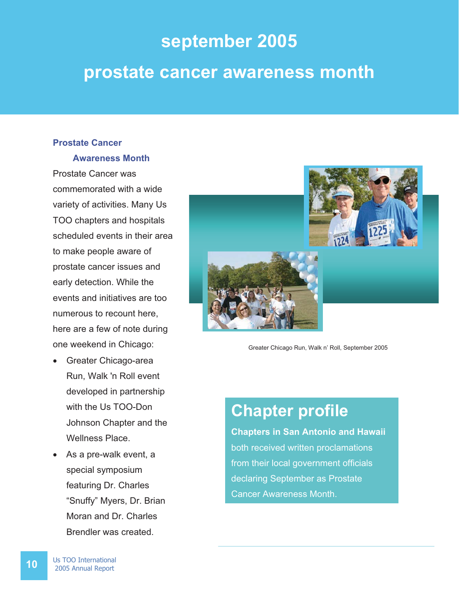# **september 2005 prostate cancer awareness month**

#### **Prostate Cancer**

#### **Awareness Month**

Prostate Cancer was commemorated with a wide variety of activities. Many Us TOO chapters and hospitals scheduled events in their area to make people aware of prostate cancer issues and early detection. While the events and initiatives are too numerous to recount here, here are a few of note during one weekend in Chicago:

- Greater Chicago-area Run, Walk 'n Roll event developed in partnership with the Us TOO-Don Johnson Chapter and the Wellness Place.
- As a pre-walk event, a special symposium featuring Dr. Charles "Snuffy" Myers, Dr. Brian Moran and Dr. Charles Brendler was created.



Greater Chicago Run, Walk n' Roll, September 2005

### **Chapter profile**

**Chapters in San Antonio and Hawaii** both received written proclamations from their local government officials declaring September as Prostate Cancer Awareness Month.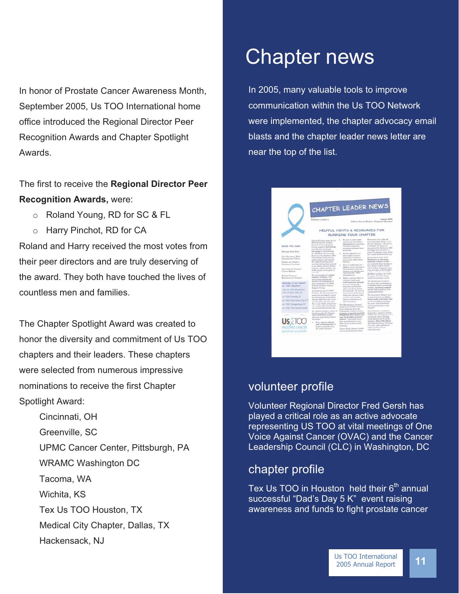In honor of Prostate Cancer Awareness Month, September 2005, Us TOO International home office introduced the Regional Director Peer Recognition Awards and Chapter Spotlight Awards.

The first to receive the **Regional Director Peer Recognition Awards,** were:

- o Roland Young, RD for SC & FL
- o Harry Pinchot, RD for CA

Roland and Harry received the most votes from their peer directors and are truly deserving of the award. They both have touched the lives of countless men and families.

The Chapter Spotlight Award was created to honor the diversity and commitment of Us TOO chapters and their leaders. These chapters were selected from numerous impressive nominations to receive the first Chapter Spotlight Award:

Cincinnati, OH Greenville, SC UPMC Cancer Center, Pittsburgh, PA WRAMC Washington DC Tacoma, WA Wichita, KS Tex Us TOO Houston, TX Medical City Chapter, Dallas, TX Hackensack, NJ

## Chapter news

In 2005, many valuable tools to improve communication within the Us TOO Network were implemented, the chapter advocacy email blasts and the chapter leader news letter are near the top of the list.

|                                                        | Volume 1, Issue 1                                                                                                                                                                                   |                                                                                                                                                                                        | August 2365<br>Editor: Kasen Bacher, Program Director                                                                                                                                                                  |
|--------------------------------------------------------|-----------------------------------------------------------------------------------------------------------------------------------------------------------------------------------------------------|----------------------------------------------------------------------------------------------------------------------------------------------------------------------------------------|------------------------------------------------------------------------------------------------------------------------------------------------------------------------------------------------------------------------|
|                                                        |                                                                                                                                                                                                     | HELPFUL HINTS & RESOURCES FOR                                                                                                                                                          |                                                                                                                                                                                                                        |
|                                                        |                                                                                                                                                                                                     | RUNNING YOUR CHAPTER                                                                                                                                                                   |                                                                                                                                                                                                                        |
| Teside this issue:<br>Message from Bass-               | Martin Kaniska from the Un-<br>TUO Bougasses Urshapi<br>Pensiste Caucas Sepport.<br>Closup accepteds Intervaning<br>attendance at group.<br>assettings by distributing<br>the Matlikeet and meeting | The assume for actions showner-<br>180<br>compare to latered sew<br>thermeeborn on montings.<br>and have been time.<br>promisers welcome them.<br>peweath.<br>Invite sponses and<br>s. | Minersuon, has a list of<br>meeting taple ideas avail-<br>able for chapters. The list in-<br>a temperature of teams ad-<br>doesned at the Barbester MN<br>meetings over the post 53.<br>years! To obtain a ropy of the |
| New Resonance Male<br>Importances Videos               | Boyes at your dealains' office.<br>harbourdsep. Somily dearer.<br>sythiosologist and sharely.                                                                                                       | atter listing to savet<br>separately to discous-<br>interes that afford them:<br>dissiple.<br>Host on indermal sew-<br>$\sim$                                                          | last, assault Jackiewinston over<br>Eatra explor of the 2003.<br><b>Medicines</b> is Develop-<br>ment for Canzon buildet<br>any articlable from hondarson-                                                             |
| Update on Chapter<br>Instantiate Commun                | the nuggests pitting your<br>neeting information printed                                                                                                                                            |                                                                                                                                                                                        |                                                                                                                                                                                                                        |
| Lain Call for Prostate<br>Casser Models                | in an edition of your church.<br>to Detin, which reaches over-<br>3,000 people at his place of<br>www.hingd<br>For an example of a great                                                            | along at every meeting on<br>that assumes and the<br>spender can mingle and<br>clied consolide, Africa<br>refleiskinents.                                                              | tent, please solt for Jackin<br>when sulling. Chapters were<br>aret sew copy of this horizlet<br>in May with their insurfity.<br>Motifient mailing, See Inside-                                                        |
| Heijafial Internet<br>Researces for Leaders            | chapter website, visit<br>www.astistchritmea.com                                                                                                                                                    | 5. Make a special effort to<br>contact soil meet                                                                                                                                       | let pages 14-27 for drups<br>related to prostate cuterer.                                                                                                                                                              |
| Wednesday for your movement<br><b>Uv.TOO Charlers!</b> | which is the homepape of<br>Jorry Behander's Us TOO<br>Texans Prostate Catent<br>Support Gravis.                                                                                                    | with misority groups<br>bi your meanweater.<br>Charches and hurbor-                                                                                                                    | The Hockensack Chepter<br>has been busy particlesting<br>in Sealth fairs, screening<br>events, speaking engage-                                                                                                        |
| The Us 700 Smokhart<br>Club at Zown City TA            | A relatively now Us TOO<br>Chapter, the Secretarists CA                                                                                                                                             | shops are great plans.<br>for extremb. To sure to<br>have alenty of hamboots                                                                                                           | ments and misserity out-<br>reach activities?                                                                                                                                                                          |
| <b>UP TOO Huntley 22</b>                               | greece has developed a great<br>aucoust group evaluation.                                                                                                                                           | with your choose inflat-<br>mation and meeting<br>tiones to distretake at                                                                                                              | The Lumanier Chipity par-<br>tiripated losted on educa-<br>tioned table and bake sale.                                                                                                                                 |
| Uir TOUT Suit Loke City UT<br>Lie TDCI Crangeburg SC   | earvey tool they give their<br>membership over 1997 1987.<br>For a copy of the scenard our-                                                                                                         | these locations.                                                                                                                                                                       | at the local Bearin's where<br>the store said wristfornity                                                                                                                                                             |
| Uir TOO The Aletharian in                              | ver, contact Browty Nichol-<br>are at insidialassively of a                                                                                                                                         | The Bloomington-Normal<br>chapter of Us TOO instants<br>had a dictician from the                                                                                                       | and domated fluishs to the<br>allesgebre?                                                                                                                                                                              |
|                                                        | Dr. Arthur Brigsby, limiter of<br>the Greenville SC Chapter<br>effect microcross beigend.<br>alma for impressing chapted<br>paintings.                                                              | Community Concert Commun<br>prepare a special rocal for-<br>the group with foreign that<br>may help fight prestate<br>eastered. The group mom-                                         | New Branswer coming by<br>September, chapters will be<br>makind case free story of a new<br>Intellects ration Lister<br>with Advanced Prostate                                                                         |
| PROSTATE CANCER                                        | 1. Horo sign-in sheets.<br>and a dematises just on<br>hasker smallable sone                                                                                                                         | been acrossily had to toon<br>fields atent of this parked.<br>intervilling.                                                                                                            | Castrari, When PSA River.<br><b>During Hursone Therage.</b><br>You asser ender additional                                                                                                                              |

#### volunteer profile

Volunteer Regional Director Fred Gersh has played a critical role as an active advocate representing US TOO at vital meetings of One Voice Against Cancer (OVAC) and the Cancer Leadership Council (CLC) in Washington, DC

#### chapter profile

Tex Us TOO in Houston held their  $6<sup>th</sup>$  annual successful "Dad's Day 5 K" event raising awareness and funds to fight prostate cancer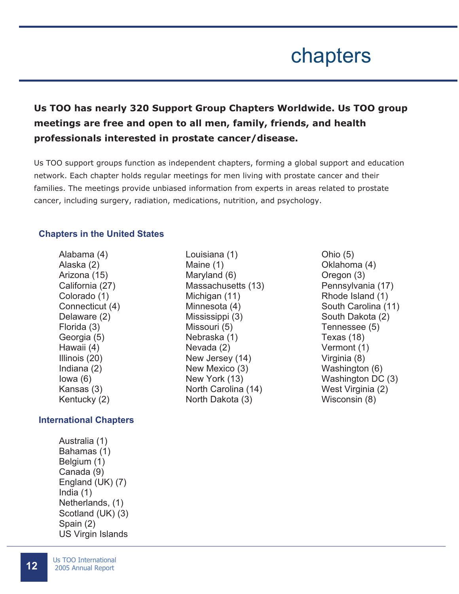## chapters

#### **Us TOO has nearly 320 Support Group Chapters Worldwide. Us TOO group meetings are free and open to all men, family, friends, and health professionals interested in prostate cancer/disease.**

Us TOO support groups function as independent chapters, forming a global support and education network. Each chapter holds regular meetings for men living with prostate cancer and their families. The meetings provide unbiased information from experts in areas related to prostate cancer, including surgery, radiation, medications, nutrition, and psychology.

#### **Chapters in the United States**

Alabama (4) Alaska (2) Arizona (15) California (27) Colorado (1) Connecticut (4) Delaware (2) Florida (3) Georgia (5) Hawaii (4) Illinois (20) Indiana (2) Iowa (6) Kansas (3) Kentucky (2)

#### **International Chapters**

Australia (1) Bahamas (1) Belgium (1) Canada (9) England (UK) (7) India (1) Netherlands, (1) Scotland (UK) (3) Spain (2) US Virgin Islands

- Louisiana (1) Maine (1) Maryland (6) Massachusetts (13) Michigan (11) Minnesota (4) Mississippi (3) Missouri (5) Nebraska (1) Nevada (2) New Jersey (14) New Mexico (3) New York (13) North Carolina (14) North Dakota (3)
- Ohio (5) Oklahoma (4) Oregon (3) Pennsylvania (17) Rhode Island (1) South Carolina (11) South Dakota (2) Tennessee (5) Texas (18) Vermont (1) Virginia (8) Washington (6) Washington DC (3) West Virginia (2) Wisconsin (8)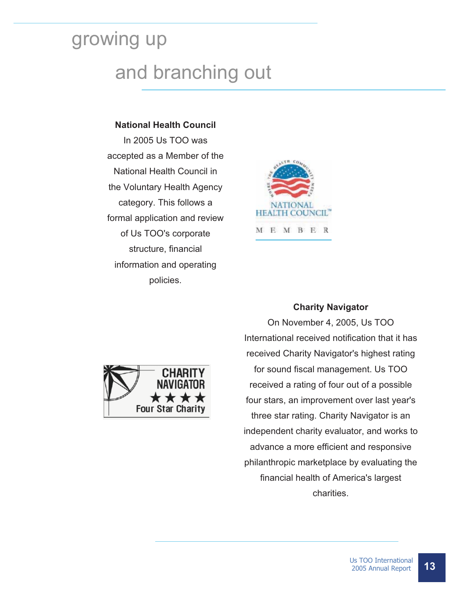# growing up and branching out

#### **National Health Council**

In 2005 Us TOO was accepted as a Member of the National Health Council in the Voluntary Health Agency category. This follows a formal application and review of Us TOO's corporate structure, financial information and operating policies.





#### **Charity Navigator**

On November 4, 2005, Us TOO International received notification that it has received Charity Navigator's highest rating for sound fiscal management. Us TOO received a rating of four out of a possible four stars, an improvement over last year's three star rating. Charity Navigator is an independent charity evaluator, and works to advance a more efficient and responsive philanthropic marketplace by evaluating the financial health of America's largest charities.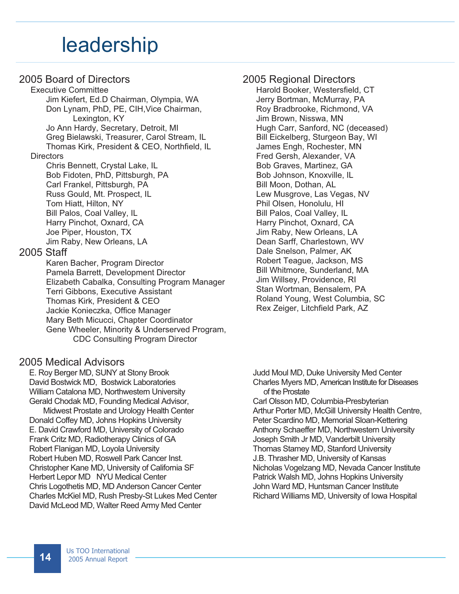### leadership

#### 2005 Board of Directors

 Executive Committee Jim Kiefert, Ed.D Chairman, Olympia, WA Don Lynam, PhD, PE, CIH,Vice Chairman, Lexington, KY Jo Ann Hardy, Secretary, Detroit, MI Greg Bielawski, Treasurer, Carol Stream, IL Thomas Kirk, President & CEO, Northfield, IL **Directors**  Chris Bennett, Crystal Lake, IL Bob Fidoten, PhD, Pittsburgh, PA

Carl Frankel, Pittsburgh, PA Russ Gould, Mt. Prospect, IL Tom Hiatt, Hilton, NY Bill Palos, Coal Valley, IL Harry Pinchot, Oxnard, CA Joe Piper, Houston, TX Jim Raby, New Orleans, LA

#### 2005 Staff

Karen Bacher, Program Director Pamela Barrett, Development Director Elizabeth Cabalka, Consulting Program Manager Terri Gibbons, Executive Assistant Thomas Kirk, President & CEO Jackie Konieczka, Office Manager Mary Beth Micucci, Chapter Coordinator Gene Wheeler, Minority & Underserved Program, CDC Consulting Program Director

#### 2005 Medical Advisors

E. Roy Berger MD, SUNY at Stony Brook David Bostwick MD, Bostwick Laboratories William Catalona MD, Northwestern University Gerald Chodak MD, Founding Medical Advisor, Midwest Prostate and Urology Health Center Donald Coffey MD, Johns Hopkins University E. David Crawford MD, University of Colorado Frank Critz MD, Radiotherapy Clinics of GA Robert Flanigan MD, Loyola University Robert Huben MD, Roswell Park Cancer Inst. Christopher Kane MD, University of California SF Herbert Lepor MD NYU Medical Center Chris Logothetis MD, MD Anderson Cancer Center Charles McKiel MD, Rush Presby-St Lukes Med Center David McLeod MD, Walter Reed Army Med Center

#### 2005 Regional Directors

Harold Booker, Westersfield, CT Jerry Bortman, McMurray, PA Roy Bradbrooke, Richmond, VA Jim Brown, Nisswa, MN Hugh Carr, Sanford, NC (deceased) Bill Eickelberg, Sturgeon Bay, WI James Engh, Rochester, MN Fred Gersh, Alexander, VA Bob Graves, Martinez, GA Bob Johnson, Knoxville, IL Bill Moon, Dothan, AL Lew Musgrove, Las Vegas, NV Phil Olsen, Honolulu, HI Bill Palos, Coal Valley, IL Harry Pinchot, Oxnard, CA Jim Raby, New Orleans, LA Dean Sarff, Charlestown, WV Dale Snelson, Palmer, AK Robert Teague, Jackson, MS Bill Whitmore, Sunderland, MA Jim Willsey, Providence, RI Stan Wortman, Bensalem, PA Roland Young, West Columbia, SC Rex Zeiger, Litchfield Park, AZ

Judd Moul MD, Duke University Med Center Charles Myers MD, American Institute for Diseases of the Prostate Carl Olsson MD, Columbia-Presbyterian Arthur Porter MD, McGill University Health Centre, Peter Scardino MD, Memorial Sloan-Kettering Anthony Schaeffer MD, Northwestern University Joseph Smith Jr MD, Vanderbilt University Thomas Stamey MD, Stanford University J.B. Thrasher MD, University of Kansas Nicholas Vogelzang MD, Nevada Cancer Institute Patrick Walsh MD, Johns Hopkins University John Ward MD, Huntsman Cancer Institute Richard Williams MD, University of Iowa Hospital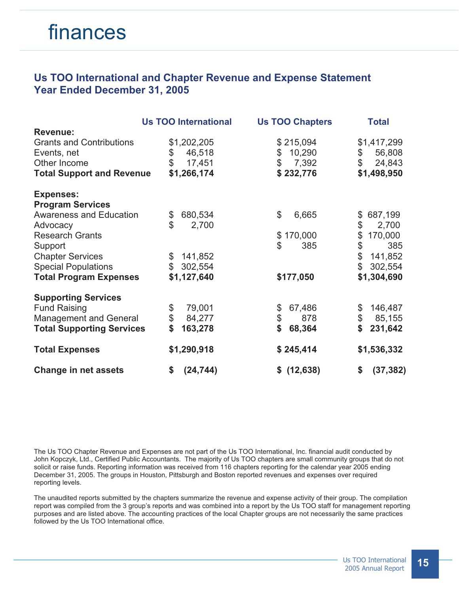#### **Us TOO International and Chapter Revenue and Expense Statement Year Ended December 31, 2005**

|                                  | <b>Us TOO International</b> | <b>Us TOO Chapters</b> | <b>Total</b>            |
|----------------------------------|-----------------------------|------------------------|-------------------------|
| <b>Revenue:</b>                  |                             |                        |                         |
| <b>Grants and Contributions</b>  | \$1,202,205                 | \$215,094              | \$1,417,299             |
| Events, net                      | \$<br>46,518                | 10,290<br>\$           | \$<br>56,808            |
| Other Income                     | \$<br>17,451                | $\mathbb{S}$<br>7,392  | \$<br>24,843            |
| <b>Total Support and Revenue</b> | \$1,266,174                 | \$232,776              | \$1,498,950             |
| <b>Expenses:</b>                 |                             |                        |                         |
| <b>Program Services</b>          |                             |                        |                         |
| <b>Awareness and Education</b>   | 680,534<br>\$               | \$<br>6,665            | 687,199<br>\$           |
| Advocacy                         | $\mathfrak{L}$<br>2,700     |                        | \$<br>2,700             |
| <b>Research Grants</b>           |                             | \$170,000              | \$<br>170,000           |
| Support                          |                             | \$<br>385              | \$<br>385               |
| <b>Chapter Services</b>          | 141,852<br>\$               |                        | \$<br>141,852           |
| <b>Special Populations</b>       | 302,554<br>$\mathbb{S}^-$   |                        | $\mathbb{S}$<br>302,554 |
| <b>Total Program Expenses</b>    | \$1,127,640                 | \$177,050              | \$1,304,690             |
| <b>Supporting Services</b>       |                             |                        |                         |
| <b>Fund Raising</b>              | \$<br>79,001                | 67,486<br>\$           | \$<br>146,487           |
| <b>Management and General</b>    | \$<br>84,277                | $\$\$<br>878           | \$<br>85,155            |
| <b>Total Supporting Services</b> | \$<br>163,278               | \$<br>68,364           | \$<br>231,642           |
| <b>Total Expenses</b>            | \$1,290,918                 | \$245,414              | \$1,536,332             |
| <b>Change in net assets</b>      | (24, 744)<br>\$             | \$ (12,638)            | \$<br>(37, 382)         |

The Us TOO Chapter Revenue and Expenses are not part of the Us TOO International, Inc. financial audit conducted by John Kopczyk, Ltd., Certified Public Accountants. The majority of Us TOO chapters are small community groups that do not solicit or raise funds. Reporting information was received from 116 chapters reporting for the calendar year 2005 ending December 31, 2005. The groups in Houston, Pittsburgh and Boston reported revenues and expenses over required reporting levels.

The unaudited reports submitted by the chapters summarize the revenue and expense activity of their group. The compilation report was compiled from the 3 group's reports and was combined into a report by the Us TOO staff for management reporting purposes and are listed above. The accounting practices of the local Chapter groups are not necessarily the same practices followed by the Us TOO International office.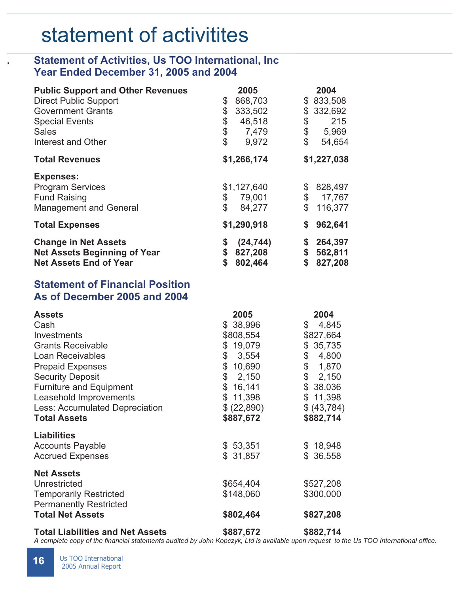## statement of activitites

#### **. Statement of Activities, Us TOO International, Inc Year Ended December 31, 2005 and 2004**

| <b>Public Support and Other Revenues</b>                           | 2005                             | 2004                           |
|--------------------------------------------------------------------|----------------------------------|--------------------------------|
| <b>Direct Public Support</b>                                       | 868,703<br>\$                    | \$833,508                      |
| <b>Government Grants</b>                                           | \$<br>333,502                    | \$332,692                      |
| <b>Special Events</b>                                              | \$<br>46,518                     | \$<br>215                      |
| <b>Sales</b>                                                       | \$<br>7,479                      | \$<br>5,969                    |
| Interest and Other                                                 | \$<br>9,972                      | $\mathbb{S}$<br>54,654         |
| <b>Total Revenues</b>                                              | \$1,266,174                      | \$1,227,038                    |
| <b>Expenses:</b>                                                   |                                  |                                |
| <b>Program Services</b>                                            | \$1,127,640                      | 828,497<br>\$                  |
| <b>Fund Raising</b>                                                | \$<br>79,001                     | \$<br>17,767                   |
| <b>Management and General</b>                                      | \$<br>84,277                     | 116,377                        |
| <b>Total Expenses</b>                                              | \$1,290,918                      | 962,641                        |
| <b>Change in Net Assets</b><br><b>Net Assets Beginning of Year</b> | (24, 744)<br>\$<br>\$<br>827,208 | 264,397<br>\$<br>562,811<br>\$ |
| <b>Net Assets End of Year</b>                                      | \$<br>802,464                    | 827,208<br>S                   |

#### **Statement of Financial Position As of December 2005 and 2004**

| <b>Assets</b>                           | 2005                    | 2004        |
|-----------------------------------------|-------------------------|-------------|
| Cash                                    | \$38,996                | 4,845<br>\$ |
| Investments                             | \$808,554               | \$827,664   |
| <b>Grants Receivable</b>                | \$19,079                | \$35,735    |
| <b>Loan Receivables</b>                 | \$<br>3,554             | \$<br>4,800 |
| <b>Prepaid Expenses</b>                 | $\mathcal{L}$<br>10,690 | \$ 1,870    |
| <b>Security Deposit</b>                 | \$2,150                 | \$2,150     |
| <b>Furniture and Equipment</b>          | \$16,141                | \$38,036    |
| Leasehold Improvements                  | \$11,398                | \$11,398    |
| Less: Accumulated Depreciation          | \$(22,890)              | \$ (43,784) |
| <b>Total Assets</b>                     | \$887,672               | \$882,714   |
| <b>Liabilities</b>                      |                         |             |
| <b>Accounts Payable</b>                 | \$53,351                | \$18,948    |
| <b>Accrued Expenses</b>                 | \$31,857                | \$36,558    |
|                                         |                         |             |
| <b>Net Assets</b>                       |                         |             |
| Unrestricted                            | \$654,404               | \$527,208   |
| <b>Temporarily Restricted</b>           | \$148,060               | \$300,000   |
| <b>Permanently Restricted</b>           |                         |             |
| <b>Total Net Assets</b>                 | \$802,464               | \$827,208   |
| <b>Total Liabilities and Net Assets</b> | \$887,672               | \$882,714   |

 *A complete copy of the financial statements audited by John Kopczyk, Ltd is available upon request to the Us TOO International office.*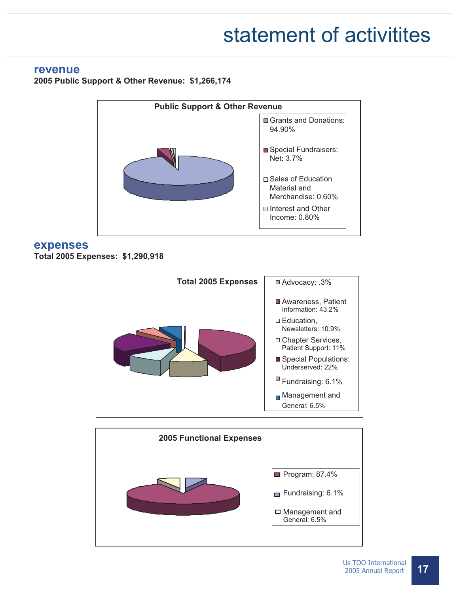## statement of activitites

#### **revenue**

**2005 Public Support & Other Revenue: \$1,266,174** 



#### **expenses**

**Total 2005 Expenses: \$1,290,918** 



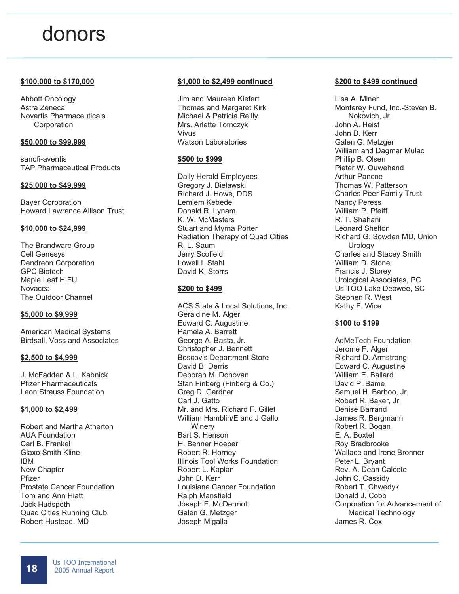## donors

#### **\$100,000 to \$170,000**

Abbott Oncology Astra Zeneca Novartis Pharmaceuticals **Corporation** 

#### **\$50,000 to \$99,999**

sanofi-aventis TAP Pharmaceutical Products

#### **\$25,000 to \$49,999**

Bayer Corporation Howard Lawrence Allison Trust

#### **\$10,000 to \$24,999**

The Brandware Group Cell Genesys Dendreon Corporation GPC Biotech Maple Leaf HIFU Novacea The Outdoor Channel

#### **\$5,000 to \$9,999**

American Medical Systems Birdsall, Voss and Associates

#### **\$2,500 to \$4,999**

J. McFadden & L. Kabnick Pfizer Pharmaceuticals Leon Strauss Foundation

#### **\$1,000 to \$2,499**

Robert and Martha Atherton AUA Foundation Carl B. Frankel Glaxo Smith Kline IBM New Chapter Pfizer Prostate Cancer Foundation Tom and Ann Hiatt Jack Hudspeth Quad Cities Running Club Robert Hustead, MD

#### **\$1,000 to \$2,499 continued**

Jim and Maureen Kiefert Thomas and Margaret Kirk Michael & Patricia Reilly Mrs. Arlette Tomczyk Vivus Watson Laboratories

#### **\$500 to \$999**

Daily Herald Employees Gregory J. Bielawski Richard J. Howe, DDS Lemlem Kebede Donald R. Lynam K. W. McMasters Stuart and Myrna Porter Radiation Therapy of Quad Cities R. L. Saum Jerry Scofield Lowell I. Stahl David K. Storrs

#### **\$200 to \$499**

ACS State & Local Solutions, Inc. Geraldine M. Alger Edward C. Augustine Pamela A. Barrett George A. Basta, Jr. Christopher J. Bennett Boscov's Department Store David B. Derris Deborah M. Donovan Stan Finberg (Finberg & Co.) Greg D. Gardner Carl J. Gatto Mr. and Mrs. Richard F. Gillet William Hamblin/E and J Gallo **Winery** Bart S. Henson H. Benner Hoeper Robert R. Horney Illinois Tool Works Foundation Robert L. Kaplan John D. Kerr Louisiana Cancer Foundation Ralph Mansfield Joseph F. McDermott Galen G. Metzger Joseph Migalla

#### **\$200 to \$499 continued**

Lisa A. Miner Monterey Fund, Inc.-Steven B. Nokovich, Jr. John A. Heist John D. Kerr Galen G. Metzger William and Dagmar Mulac Phillip B. Olsen Pieter W. Ouwehand Arthur Pancoe Thomas W. Patterson Charles Peer Family Trust Nancy Peress William P. Pfeiff R. T. Shahani Leonard Shelton Richard G. Sowden MD, Union **Urology** Charles and Stacey Smith William D. Stone Francis J. Storey Urological Associates, PC Us TOO Lake Deowee, SC Stephen R. West Kathy F. Wice

#### **\$100 to \$199**

AdMeTech Foundation Jerome F. Alger Richard D. Armstrong Edward C. Augustine William E. Ballard David P. Bame Samuel H. Barboo, Jr. Robert R. Baker, Jr. Denise Barrand James R. Bergmann Robert R. Bogan E. A. Boxtel Roy Bradbrooke Wallace and Irene Bronner Peter L. Bryant Rev. A. Dean Calcote John C. Cassidy Robert T. Chwedyk Donald J. Cobb Corporation for Advancement of Medical Technology James R. Cox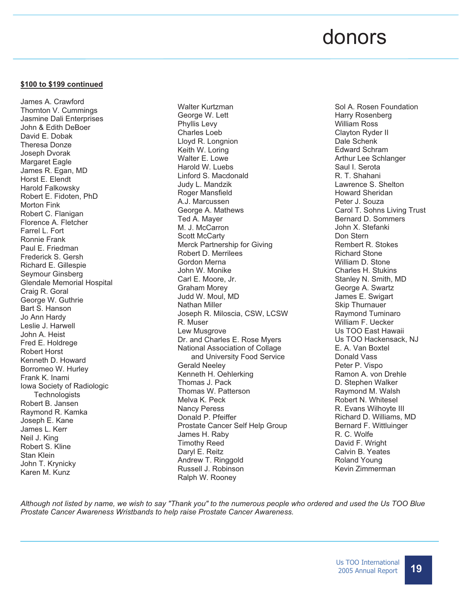### donors

#### **\$100 to \$199 continued**

James A. Crawford Thornton V. Cummings Jasmine Dali Enterprises John & Edith DeBoer David E. Dobak Theresa Donze Joseph Dvorak Margaret Eagle James R. Egan, MD Horst E. Elendt Harold Falkowsky Robert E. Fidoten, PhD Morton Fink Robert C. Flanigan Florence A. Fletcher Farrel L. Fort Ronnie Frank Paul E. Friedman Frederick S. Gersh Richard E. Gillespie Seymour Ginsberg Glendale Memorial Hospital Craig R. Goral George W. Guthrie Bart S. Hanson Jo Ann Hardy Leslie J. Harwell John A. Heist Fred E. Holdrege Robert Horst Kenneth D. Howard Borromeo W. Hurley Frank K. Inami Iowa Society of Radiologic **Technologists** Robert B. Jansen Raymond R. Kamka Joseph E. Kane James L. Kerr Neil J. King Robert S. Kline Stan Klein John T. Krynicky Karen M. Kunz

Walter Kurtzman George W. Lett Phyllis Levy Charles Loeb Lloyd R. Longnion Keith W. Loring Walter E. Lowe Harold W. Luebs Linford S. Macdonald Judy L. Mandzik Roger Mansfield A.J. Marcussen George A. Mathews Ted A. Mayer M. J. McCarron Scott McCarty Merck Partnership for Giving Robert D. Merrilees Gordon Merna John W. Monike Carl E. Moore, Jr. Graham Morey Judd W. Moul, MD Nathan Miller Joseph R. Miloscia, CSW, LCSW R. Muser Lew Musgrove Dr. and Charles E. Rose Myers National Association of Collage and University Food Service Gerald Neeley Kenneth H. Oehlerking Thomas J. Pack Thomas W. Patterson Melva K. Peck Nancy Peress Donald P. Pfeiffer Prostate Cancer Self Help Group James H. Raby Timothy Reed Daryl E. Reitz Andrew T. Ringgold Russell J. Robinson Ralph W. Rooney

Sol A. Rosen Foundation Harry Rosenberg William Ross Clayton Ryder II Dale Schenk Edward Schram Arthur Lee Schlanger Saul I. Serota R. T. Shahani Lawrence S. Shelton Howard Sheridan Peter J. Souza Carol T. Sohns Living Trust Bernard D. Sommers John X. Stefanki Don Stern Rembert R. Stokes Richard Stone William D. Stone Charles H. Stukins Stanley N. Smith, MD George A. Swartz James E. Swigart Skip Thurnauer Raymond Tuminaro William F. Uecker Us TOO East Hawaii Us TOO Hackensack, NJ E. A. Van Boxtel Donald Vass Peter P. Vispo Ramon A. von Drehle D. Stephen Walker Raymond M. Walsh Robert N. Whitesel R. Evans Wilhoyte III Richard D. Williams, MD Bernard F. Wittluinger R. C. Wolfe David F. Wright Calvin B. Yeates Roland Young Kevin Zimmerman

*Although not listed by name, we wish to say "Thank you" to the numerous people who ordered and used the Us TOO Blue Prostate Cancer Awareness Wristbands to help raise Prostate Cancer Awareness.*